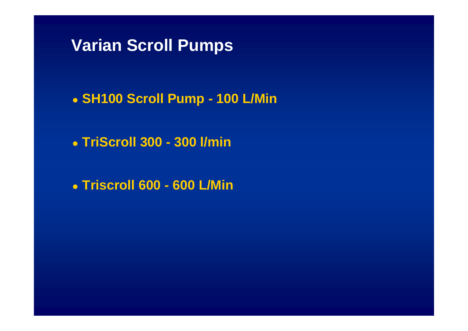**Varian Scroll Pumps**

 $\bullet$ **SH100 Scroll Pump - 100 L/Min**

 $\bullet$ **TriScroll 300 - 300 l/min**

 $\bullet$ **Triscroll 600 - 600 L/Min**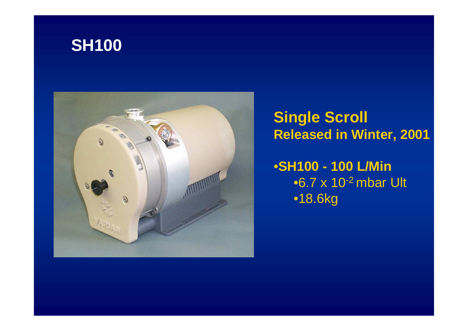# **SH100**



## **Single ScrollReleased in Winter, 2001**

•**SH100 - 100 L/Min** •6.7 x 10-2 mbar Ult•18.6kg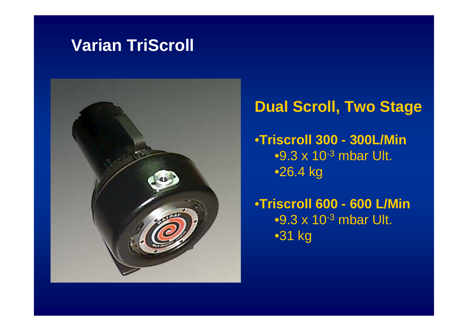## **Varian TriScroll**



## **Dual Scroll, Two Stage**

•**Triscroll 300 - 300L/Min** $\bullet$ 9.3 x 10<sup>-3</sup> mbar Ult. •26.4 kg

•**Triscroll 600 - 600 L/Min** $\bullet$ 9.3 x 10<sup>-3</sup> mbar Ult. •31 kg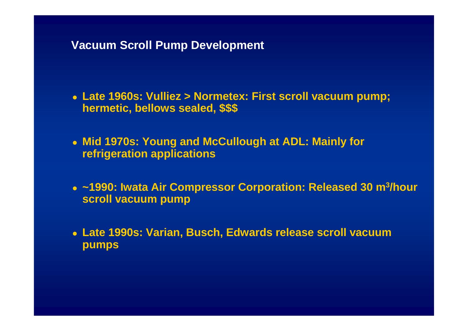#### **Vacuum Scroll Pump Development**

 **Late 1960s: Vulliez > Normetex: First scroll vacuum pump; hermetic, bellows sealed, \$\$\$**

 **Mid 1970s: Young and McCullough at ADL: Mainly for refrigeration applications**

 **~1990: Iwata Air Compressor Corporation: Released 30 m3/hour scroll vacuum pump**

 **Late 1990s: Varian, Busch, Edwards release scroll vacuum pumps**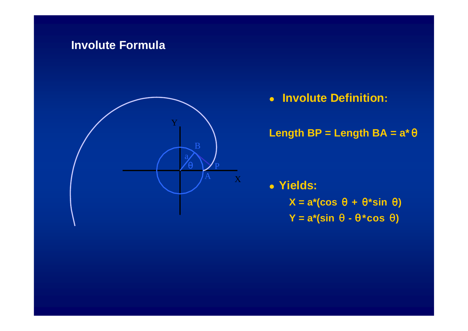## **Involute Formula**



**Involute Definition:**

Length BP = Length BA = 
$$
a^* \theta
$$

**Yields:**

**X = a\*(cos** <sup>θ</sup> **<sup>+</sup>**θ**\*sin** θ**)**

**Y = a\*(sin** θ **-** <sup>θ</sup> **\*cos** <sup>θ</sup>**)**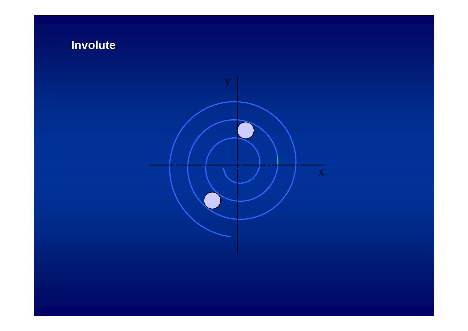## **Involute**

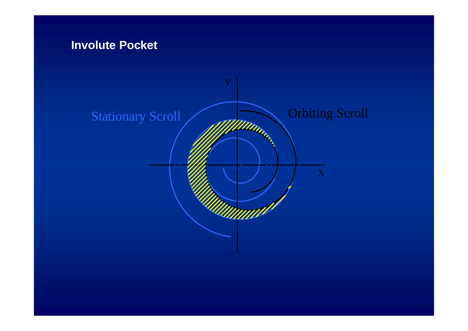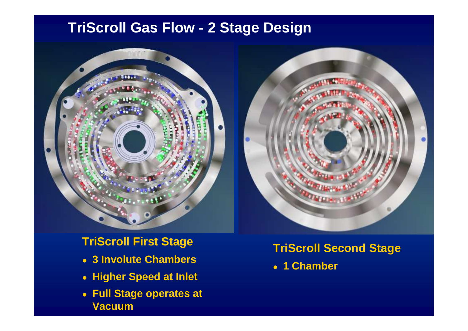## **TriScroll Gas Flow - 2 Stage Design**





**TriScroll First Stage**

- **3 Involute Chambers**
- **Higher Speed at Inlet**
- **Full Stage operates at Vacuum**

**TriScroll Second Stage**

**1 Chamber**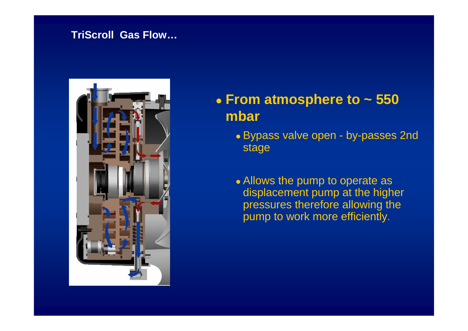#### **TriScroll Gas Flow…**



#### $\bullet$  **From atmosphere to ~ 550 mbar**

- Bypass valve open by-passes 2nd stage
- Allows the pump to operate as displacement pump at the higher pressures therefore allowing the pump to work more efficiently.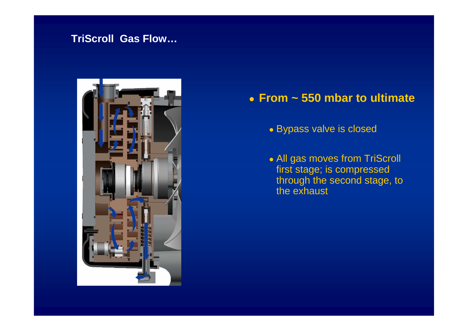#### **TriScroll Gas Flow…**



## **From ~ 550 mbar to ultimate**

- Bypass valve is closed
- All gas moves from TriScroll first stage; is compressed through the second stage, to the exhaust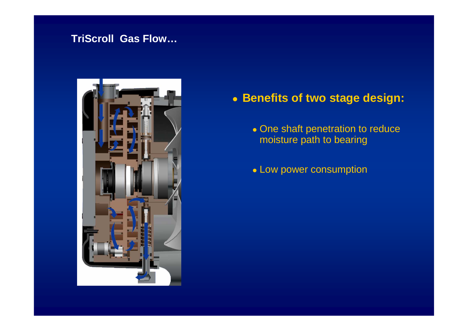#### **TriScroll Gas Flow…**



## **Benefits of two stage design:**

- One shaft penetration to reduce moisture path to bearing
- Low power consumption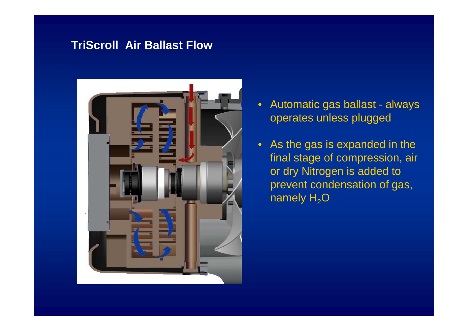## **TriScroll Air Ballast Flow**



- • Automatic gas ballast - always operates unless plugged
- As the gas is expanded in the final stage of compression, air or dry Nitrogen is added to prevent condensation of gas, namely  ${\sf H_2O}$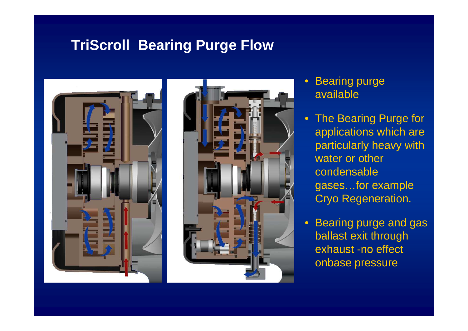## **TriScroll Bearing Purge Flow**





- Bearing purge available
- The Bearing Purge for applications which are particularly heavy with water or other condensable gases…for example Cryo Regeneration.
- Bearing purge and gas ballast exit through exhaust -no effect onbase pressure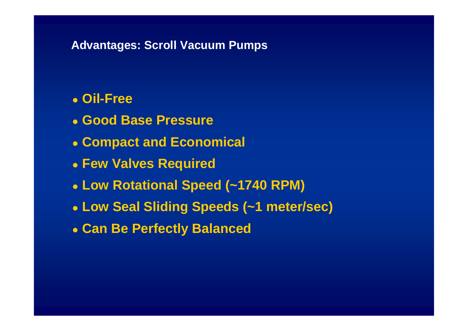#### **Advantages: Scroll Vacuum Pumps**

#### $\bullet$ **Oil-Free**

- $\bullet$ **Good Base Pressure**
- $\bullet$ **Compact and Economical**
- $\bullet$ **Few Valves Required**
- $\bullet$ **Low Rotational Speed (~1740 RPM)**
- $\bullet$ **Low Seal Sliding Speeds (~1 meter/sec)**
- $\bullet$ **Can Be Perfectly Balanced**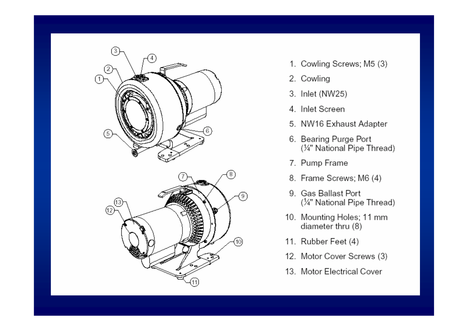

- 1. Cowling Screws; M5 (3)
- 2. Cowling
- 3. Inlet (NW25)
- 4. Inlet Screen
- 5. NW16 Exhaust Adapter
- 6. Bearing Purge Port (¼" National Pipe Thread)
- 7. Pump Frame
- 8. Frame Screws; M6 (4)
- 9. Gas Ballast Port (¼" National Pipe Thread)
- 10. Mounting Holes; 11 mm diameter thru (8)
- 11. Rubber Feet (4)
- 12. Motor Cover Screws (3)
- 13. Motor Electrical Cover